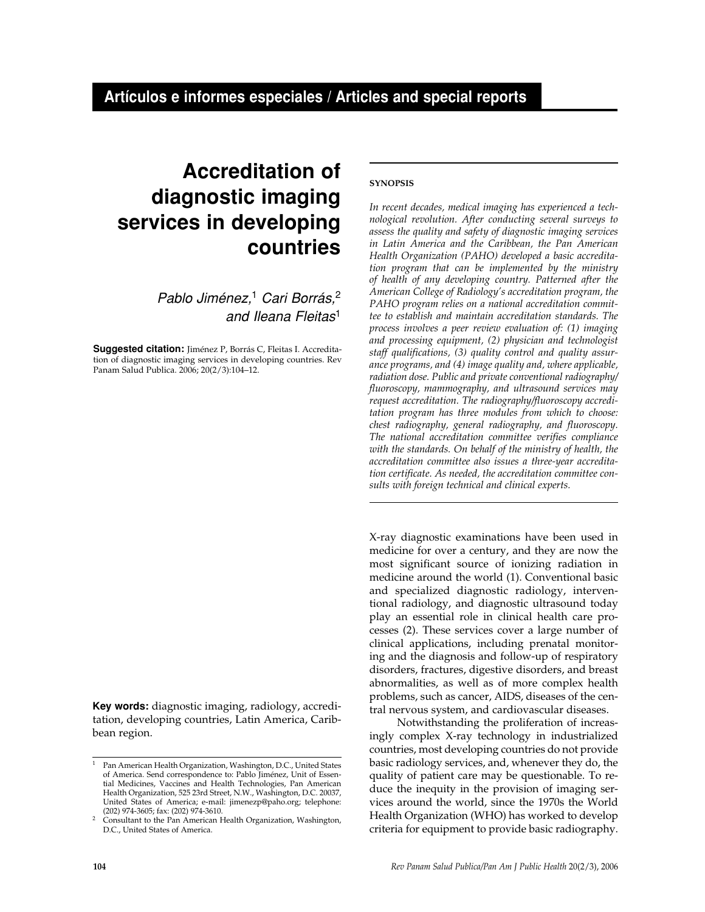# **Accreditation of diagnostic imaging services in developing countries**

Pablo Jiménez,<sup>1</sup> Cari Borrás,<sup>2</sup> and Ileana Fleitas<sup>1</sup>

**Suggested citation:** Jiménez P, Borrás C, Fleitas I. Accreditation of diagnostic imaging services in developing countries. Rev Panam Salud Publica. 2006; 20(2/3):104–12.

**Key words:** diagnostic imaging, radiology, accreditation, developing countries, Latin America, Caribbean region.

# **SYNOPSIS**

*In recent decades, medical imaging has experienced a technological revolution. After conducting several surveys to assess the quality and safety of diagnostic imaging services in Latin America and the Caribbean, the Pan American Health Organization (PAHO) developed a basic accreditation program that can be implemented by the ministry of health of any developing country. Patterned after the American College of Radiology's accreditation program, the PAHO program relies on a national accreditation committee to establish and maintain accreditation standards. The process involves a peer review evaluation of: (1) imaging and processing equipment, (2) physician and technologist staff qualifications, (3) quality control and quality assurance programs, and (4) image quality and, where applicable, radiation dose. Public and private conventional radiography/ fluoroscopy, mammography, and ultrasound services may request accreditation. The radiography/fluoroscopy accreditation program has three modules from which to choose: chest radiography, general radiography, and fluoroscopy. The national accreditation committee verifies compliance with the standards. On behalf of the ministry of health, the accreditation committee also issues a three-year accreditation certificate. As needed, the accreditation committee consults with foreign technical and clinical experts.*

X-ray diagnostic examinations have been used in medicine for over a century, and they are now the most significant source of ionizing radiation in medicine around the world (1). Conventional basic and specialized diagnostic radiology, interventional radiology, and diagnostic ultrasound today play an essential role in clinical health care processes (2). These services cover a large number of clinical applications, including prenatal monitoring and the diagnosis and follow-up of respiratory disorders, fractures, digestive disorders, and breast abnormalities, as well as of more complex health problems, such as cancer, AIDS, diseases of the central nervous system, and cardiovascular diseases.

Notwithstanding the proliferation of increasingly complex X-ray technology in industrialized countries, most developing countries do not provide basic radiology services, and, whenever they do, the quality of patient care may be questionable. To reduce the inequity in the provision of imaging services around the world, since the 1970s the World Health Organization (WHO) has worked to develop criteria for equipment to provide basic radiography.

<sup>1</sup> Pan American Health Organization, Washington, D.C., United States of America. Send correspondence to: Pablo Jiménez, Unit of Essential Medicines, Vaccines and Health Technologies, Pan American Health Organization, 525 23rd Street, N.W., Washington, D.C. 20037, United States of America; e-mail: jimenezp@paho.org; telephone:

Consultant to the Pan American Health Organization, Washington, D.C., United States of America.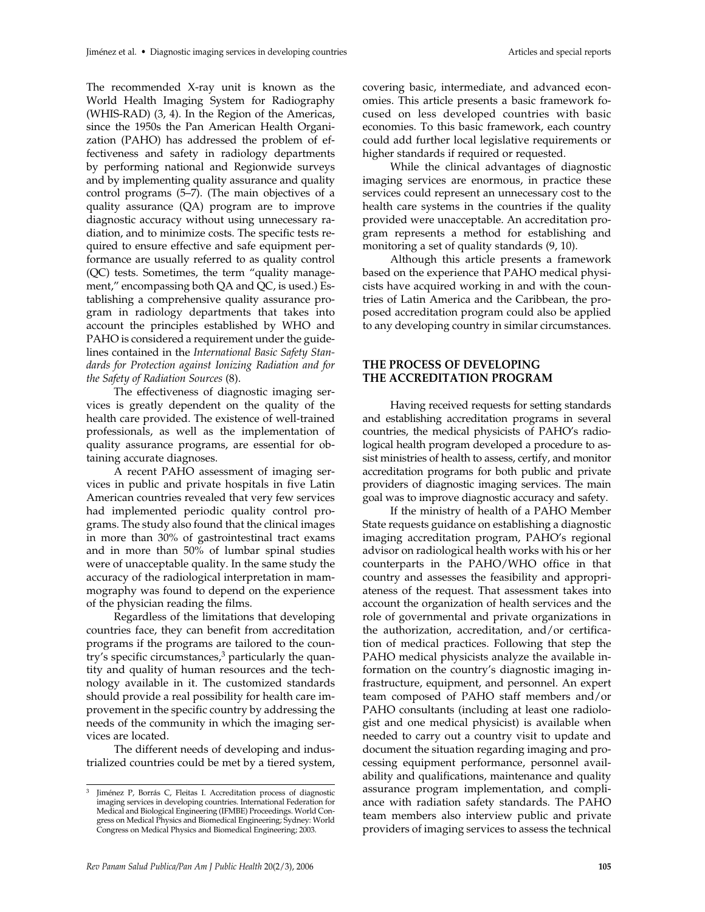The recommended X-ray unit is known as the World Health Imaging System for Radiography (WHIS-RAD) (3, 4). In the Region of the Americas, since the 1950s the Pan American Health Organization (PAHO) has addressed the problem of effectiveness and safety in radiology departments by performing national and Regionwide surveys and by implementing quality assurance and quality control programs (5–7). (The main objectives of a quality assurance (QA) program are to improve diagnostic accuracy without using unnecessary radiation, and to minimize costs. The specific tests required to ensure effective and safe equipment performance are usually referred to as quality control (QC) tests. Sometimes, the term "quality management," encompassing both QA and QC, is used.) Establishing a comprehensive quality assurance program in radiology departments that takes into account the principles established by WHO and PAHO is considered a requirement under the guidelines contained in the *International Basic Safety Standards for Protection against Ionizing Radiation and for the Safety of Radiation Sources* (8).

The effectiveness of diagnostic imaging services is greatly dependent on the quality of the health care provided. The existence of well-trained professionals, as well as the implementation of quality assurance programs, are essential for obtaining accurate diagnoses.

A recent PAHO assessment of imaging services in public and private hospitals in five Latin American countries revealed that very few services had implemented periodic quality control programs. The study also found that the clinical images in more than 30% of gastrointestinal tract exams and in more than 50% of lumbar spinal studies were of unacceptable quality. In the same study the accuracy of the radiological interpretation in mammography was found to depend on the experience of the physician reading the films.

Regardless of the limitations that developing countries face, they can benefit from accreditation programs if the programs are tailored to the country's specific circumstances, $3$  particularly the quantity and quality of human resources and the technology available in it. The customized standards should provide a real possibility for health care improvement in the specific country by addressing the needs of the community in which the imaging services are located.

The different needs of developing and industrialized countries could be met by a tiered system,

covering basic, intermediate, and advanced economies. This article presents a basic framework focused on less developed countries with basic economies. To this basic framework, each country could add further local legislative requirements or higher standards if required or requested.

While the clinical advantages of diagnostic imaging services are enormous, in practice these services could represent an unnecessary cost to the health care systems in the countries if the quality provided were unacceptable. An accreditation program represents a method for establishing and monitoring a set of quality standards (9, 10).

Although this article presents a framework based on the experience that PAHO medical physicists have acquired working in and with the countries of Latin America and the Caribbean, the proposed accreditation program could also be applied to any developing country in similar circumstances.

# **THE PROCESS OF DEVELOPING THE ACCREDITATION PROGRAM**

Having received requests for setting standards and establishing accreditation programs in several countries, the medical physicists of PAHO's radiological health program developed a procedure to assist ministries of health to assess, certify, and monitor accreditation programs for both public and private providers of diagnostic imaging services. The main goal was to improve diagnostic accuracy and safety.

If the ministry of health of a PAHO Member State requests guidance on establishing a diagnostic imaging accreditation program, PAHO's regional advisor on radiological health works with his or her counterparts in the PAHO/WHO office in that country and assesses the feasibility and appropriateness of the request. That assessment takes into account the organization of health services and the role of governmental and private organizations in the authorization, accreditation, and/or certification of medical practices. Following that step the PAHO medical physicists analyze the available information on the country's diagnostic imaging infrastructure, equipment, and personnel. An expert team composed of PAHO staff members and/or PAHO consultants (including at least one radiologist and one medical physicist) is available when needed to carry out a country visit to update and document the situation regarding imaging and processing equipment performance, personnel availability and qualifications, maintenance and quality assurance program implementation, and compliance with radiation safety standards. The PAHO team members also interview public and private providers of imaging services to assess the technical

Jiménez P, Borrás C, Fleitas I. Accreditation process of diagnostic imaging services in developing countries. International Federation for Medical and Biological Engineering (IFMBE) Proceedings. World Congress on Medical Physics and Biomedical Engineering; Sydney: World Congress on Medical Physics and Biomedical Engineering; 2003.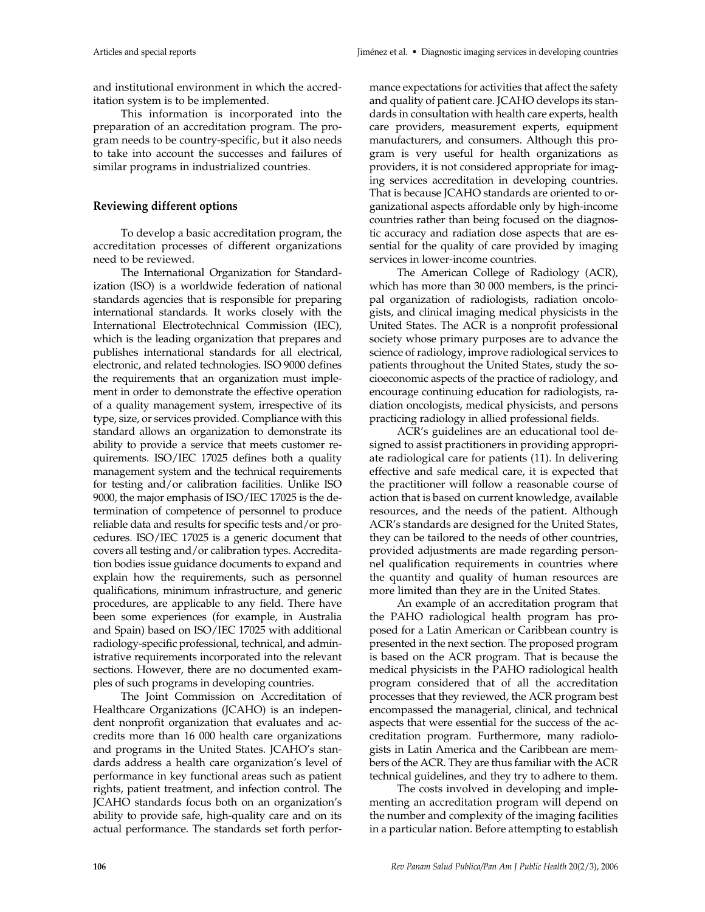and institutional environment in which the accreditation system is to be implemented.

This information is incorporated into the preparation of an accreditation program. The program needs to be country-specific, but it also needs to take into account the successes and failures of similar programs in industrialized countries.

# **Reviewing different options**

To develop a basic accreditation program, the accreditation processes of different organizations need to be reviewed.

The International Organization for Standardization (ISO) is a worldwide federation of national standards agencies that is responsible for preparing international standards. It works closely with the International Electrotechnical Commission (IEC), which is the leading organization that prepares and publishes international standards for all electrical, electronic, and related technologies. ISO 9000 defines the requirements that an organization must implement in order to demonstrate the effective operation of a quality management system, irrespective of its type, size, or services provided. Compliance with this standard allows an organization to demonstrate its ability to provide a service that meets customer requirements. ISO/IEC 17025 defines both a quality management system and the technical requirements for testing and/or calibration facilities. Unlike ISO 9000, the major emphasis of ISO/IEC 17025 is the determination of competence of personnel to produce reliable data and results for specific tests and/or procedures. ISO/IEC 17025 is a generic document that covers all testing and/or calibration types. Accreditation bodies issue guidance documents to expand and explain how the requirements, such as personnel qualifications, minimum infrastructure, and generic procedures, are applicable to any field. There have been some experiences (for example, in Australia and Spain) based on ISO/IEC 17025 with additional radiology-specific professional, technical, and administrative requirements incorporated into the relevant sections. However, there are no documented examples of such programs in developing countries.

The Joint Commission on Accreditation of Healthcare Organizations (JCAHO) is an independent nonprofit organization that evaluates and accredits more than 16 000 health care organizations and programs in the United States. JCAHO's standards address a health care organization's level of performance in key functional areas such as patient rights, patient treatment, and infection control. The JCAHO standards focus both on an organization's ability to provide safe, high-quality care and on its actual performance. The standards set forth perfor-

mance expectations for activities that affect the safety and quality of patient care. JCAHO develops its standards in consultation with health care experts, health care providers, measurement experts, equipment manufacturers, and consumers. Although this program is very useful for health organizations as providers, it is not considered appropriate for imaging services accreditation in developing countries. That is because JCAHO standards are oriented to organizational aspects affordable only by high-income countries rather than being focused on the diagnostic accuracy and radiation dose aspects that are essential for the quality of care provided by imaging services in lower-income countries.

The American College of Radiology (ACR), which has more than 30 000 members, is the principal organization of radiologists, radiation oncologists, and clinical imaging medical physicists in the United States. The ACR is a nonprofit professional society whose primary purposes are to advance the science of radiology, improve radiological services to patients throughout the United States, study the socioeconomic aspects of the practice of radiology, and encourage continuing education for radiologists, radiation oncologists, medical physicists, and persons practicing radiology in allied professional fields.

ACR's guidelines are an educational tool designed to assist practitioners in providing appropriate radiological care for patients (11). In delivering effective and safe medical care, it is expected that the practitioner will follow a reasonable course of action that is based on current knowledge, available resources, and the needs of the patient. Although ACR's standards are designed for the United States, they can be tailored to the needs of other countries, provided adjustments are made regarding personnel qualification requirements in countries where the quantity and quality of human resources are more limited than they are in the United States.

An example of an accreditation program that the PAHO radiological health program has proposed for a Latin American or Caribbean country is presented in the next section. The proposed program is based on the ACR program. That is because the medical physicists in the PAHO radiological health program considered that of all the accreditation processes that they reviewed, the ACR program best encompassed the managerial, clinical, and technical aspects that were essential for the success of the accreditation program. Furthermore, many radiologists in Latin America and the Caribbean are members of the ACR. They are thus familiar with the ACR technical guidelines, and they try to adhere to them.

The costs involved in developing and implementing an accreditation program will depend on the number and complexity of the imaging facilities in a particular nation. Before attempting to establish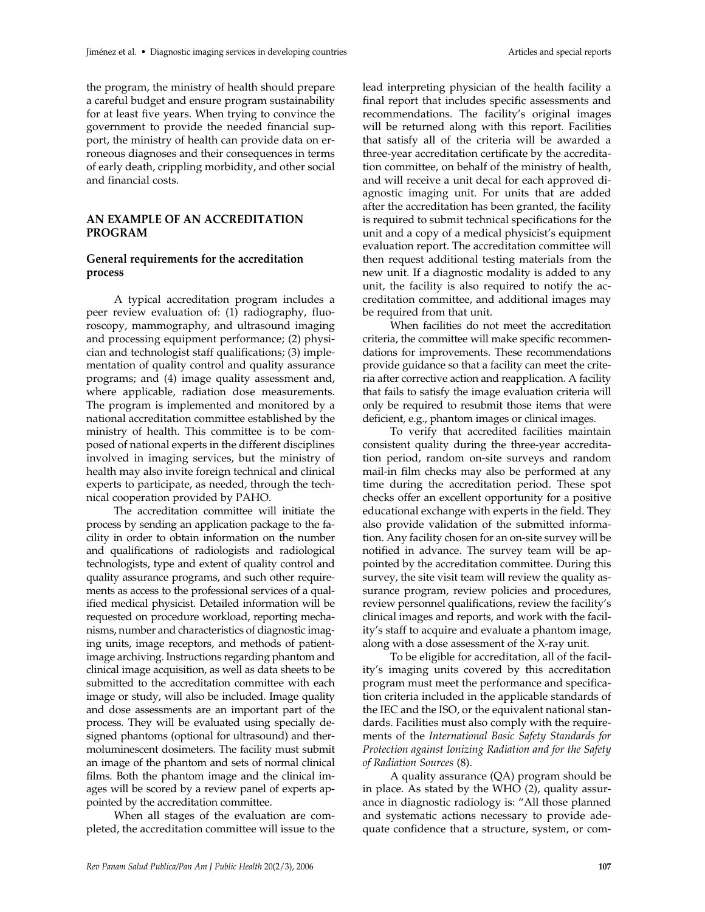the program, the ministry of health should prepare a careful budget and ensure program sustainability for at least five years. When trying to convince the government to provide the needed financial support, the ministry of health can provide data on erroneous diagnoses and their consequences in terms of early death, crippling morbidity, and other social and financial costs.

# **AN EXAMPLE OF AN ACCREDITATION PROGRAM**

## **General requirements for the accreditation process**

A typical accreditation program includes a peer review evaluation of: (1) radiography, fluoroscopy, mammography, and ultrasound imaging and processing equipment performance; (2) physician and technologist staff qualifications; (3) implementation of quality control and quality assurance programs; and (4) image quality assessment and, where applicable, radiation dose measurements. The program is implemented and monitored by a national accreditation committee established by the ministry of health. This committee is to be composed of national experts in the different disciplines involved in imaging services, but the ministry of health may also invite foreign technical and clinical experts to participate, as needed, through the technical cooperation provided by PAHO.

The accreditation committee will initiate the process by sending an application package to the facility in order to obtain information on the number and qualifications of radiologists and radiological technologists, type and extent of quality control and quality assurance programs, and such other requirements as access to the professional services of a qualified medical physicist. Detailed information will be requested on procedure workload, reporting mechanisms, number and characteristics of diagnostic imaging units, image receptors, and methods of patientimage archiving. Instructions regarding phantom and clinical image acquisition, as well as data sheets to be submitted to the accreditation committee with each image or study, will also be included. Image quality and dose assessments are an important part of the process. They will be evaluated using specially designed phantoms (optional for ultrasound) and thermoluminescent dosimeters. The facility must submit an image of the phantom and sets of normal clinical films. Both the phantom image and the clinical images will be scored by a review panel of experts appointed by the accreditation committee.

When all stages of the evaluation are completed, the accreditation committee will issue to the

lead interpreting physician of the health facility a final report that includes specific assessments and recommendations. The facility's original images will be returned along with this report. Facilities that satisfy all of the criteria will be awarded a three-year accreditation certificate by the accreditation committee, on behalf of the ministry of health, and will receive a unit decal for each approved diagnostic imaging unit. For units that are added after the accreditation has been granted, the facility is required to submit technical specifications for the unit and a copy of a medical physicist's equipment evaluation report. The accreditation committee will then request additional testing materials from the new unit. If a diagnostic modality is added to any unit, the facility is also required to notify the accreditation committee, and additional images may be required from that unit.

When facilities do not meet the accreditation criteria, the committee will make specific recommendations for improvements. These recommendations provide guidance so that a facility can meet the criteria after corrective action and reapplication. A facility that fails to satisfy the image evaluation criteria will only be required to resubmit those items that were deficient, e.g., phantom images or clinical images.

To verify that accredited facilities maintain consistent quality during the three-year accreditation period, random on-site surveys and random mail-in film checks may also be performed at any time during the accreditation period. These spot checks offer an excellent opportunity for a positive educational exchange with experts in the field. They also provide validation of the submitted information. Any facility chosen for an on-site survey will be notified in advance. The survey team will be appointed by the accreditation committee. During this survey, the site visit team will review the quality assurance program, review policies and procedures, review personnel qualifications, review the facility's clinical images and reports, and work with the facility's staff to acquire and evaluate a phantom image, along with a dose assessment of the X-ray unit.

To be eligible for accreditation, all of the facility's imaging units covered by this accreditation program must meet the performance and specification criteria included in the applicable standards of the IEC and the ISO, or the equivalent national standards. Facilities must also comply with the requirements of the *International Basic Safety Standards for Protection against Ionizing Radiation and for the Safety of Radiation Sources* (8).

A quality assurance (QA) program should be in place. As stated by the WHO (2), quality assurance in diagnostic radiology is: "All those planned and systematic actions necessary to provide adequate confidence that a structure, system, or com-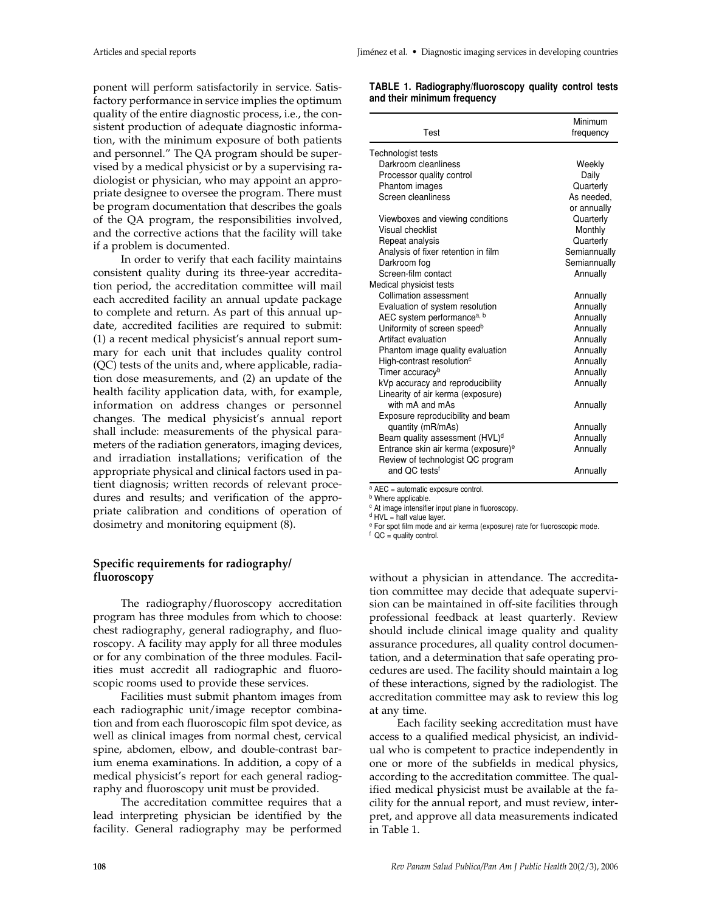ponent will perform satisfactorily in service. Satisfactory performance in service implies the optimum quality of the entire diagnostic process, i.e., the consistent production of adequate diagnostic information, with the minimum exposure of both patients and personnel." The QA program should be supervised by a medical physicist or by a supervising radiologist or physician, who may appoint an appropriate designee to oversee the program. There must be program documentation that describes the goals of the QA program, the responsibilities involved, and the corrective actions that the facility will take if a problem is documented.

In order to verify that each facility maintains consistent quality during its three-year accreditation period, the accreditation committee will mail each accredited facility an annual update package to complete and return. As part of this annual update, accredited facilities are required to submit: (1) a recent medical physicist's annual report summary for each unit that includes quality control (QC) tests of the units and, where applicable, radiation dose measurements, and (2) an update of the health facility application data, with, for example, information on address changes or personnel changes. The medical physicist's annual report shall include: measurements of the physical parameters of the radiation generators, imaging devices, and irradiation installations; verification of the appropriate physical and clinical factors used in patient diagnosis; written records of relevant procedures and results; and verification of the appropriate calibration and conditions of operation of dosimetry and monitoring equipment (8).

# **Specific requirements for radiography/ fluoroscopy**

The radiography/fluoroscopy accreditation program has three modules from which to choose: chest radiography, general radiography, and fluoroscopy. A facility may apply for all three modules or for any combination of the three modules. Facilities must accredit all radiographic and fluoroscopic rooms used to provide these services.

Facilities must submit phantom images from each radiographic unit/image receptor combination and from each fluoroscopic film spot device, as well as clinical images from normal chest, cervical spine, abdomen, elbow, and double-contrast barium enema examinations. In addition, a copy of a medical physicist's report for each general radiography and fluoroscopy unit must be provided.

The accreditation committee requires that a lead interpreting physician be identified by the facility. General radiography may be performed

| TABLE 1. Radiography/fluoroscopy quality control tests |  |
|--------------------------------------------------------|--|
| and their minimum frequency                            |  |

| Test                                                | Minimum<br>frequency |
|-----------------------------------------------------|----------------------|
| Technologist tests                                  |                      |
| Darkroom cleanliness                                | Weekly               |
| Processor quality control                           | Daily                |
| Phantom images                                      | Quarterly            |
| Screen cleanliness                                  | As needed,           |
|                                                     | or annually          |
| Viewboxes and viewing conditions                    | Quarterly            |
| Visual checklist                                    | Monthly              |
| Repeat analysis                                     | Quarterly            |
| Analysis of fixer retention in film                 | Semiannually         |
| Darkroom fog                                        | Semiannually         |
| Screen-film contact                                 | Annually             |
| Medical physicist tests                             |                      |
| Collimation assessment                              | Annually             |
| Evaluation of system resolution                     | Annually             |
| AEC system performance <sup>a, b</sup>              | Annually             |
| Uniformity of screen speed <sup>b</sup>             | Annually             |
| Artifact evaluation                                 | Annually             |
| Phantom image quality evaluation                    | Annually             |
| High-contrast resolution <sup>c</sup>               | Annually             |
| Timer accuracy <sup>b</sup>                         | Annually             |
| kVp accuracy and reproducibility                    | Annually             |
| Linearity of air kerma (exposure)                   |                      |
| with mA and mAs                                     | Annually             |
| Exposure reproducibility and beam                   |                      |
| quantity (mR/mAs)                                   | Annually             |
| Beam quality assessment (HVL) <sup>d</sup>          | Annually             |
| Entrance skin air kerma (exposure) <sup>e</sup>     | Annually             |
| Review of technologist QC program                   |                      |
| and OC tests <sup>f</sup>                           | Annually             |
| $2\Delta E\cap \Delta$ automotic experience control |                      |

**AEC = automatic exposure control.** 

**b** Where applicable.

<sup>c</sup> At image intensifier input plane in fluoroscopy.

 $d$  HVL = half value layer.

<sup>e</sup> For spot film mode and air kerma (exposure) rate for fluoroscopic mode.

 $f$  QC = quality control.

without a physician in attendance. The accreditation committee may decide that adequate supervision can be maintained in off-site facilities through professional feedback at least quarterly. Review should include clinical image quality and quality assurance procedures, all quality control documentation, and a determination that safe operating procedures are used. The facility should maintain a log of these interactions, signed by the radiologist. The accreditation committee may ask to review this log at any time.

Each facility seeking accreditation must have access to a qualified medical physicist, an individual who is competent to practice independently in one or more of the subfields in medical physics, according to the accreditation committee. The qualified medical physicist must be available at the facility for the annual report, and must review, interpret, and approve all data measurements indicated in Table 1.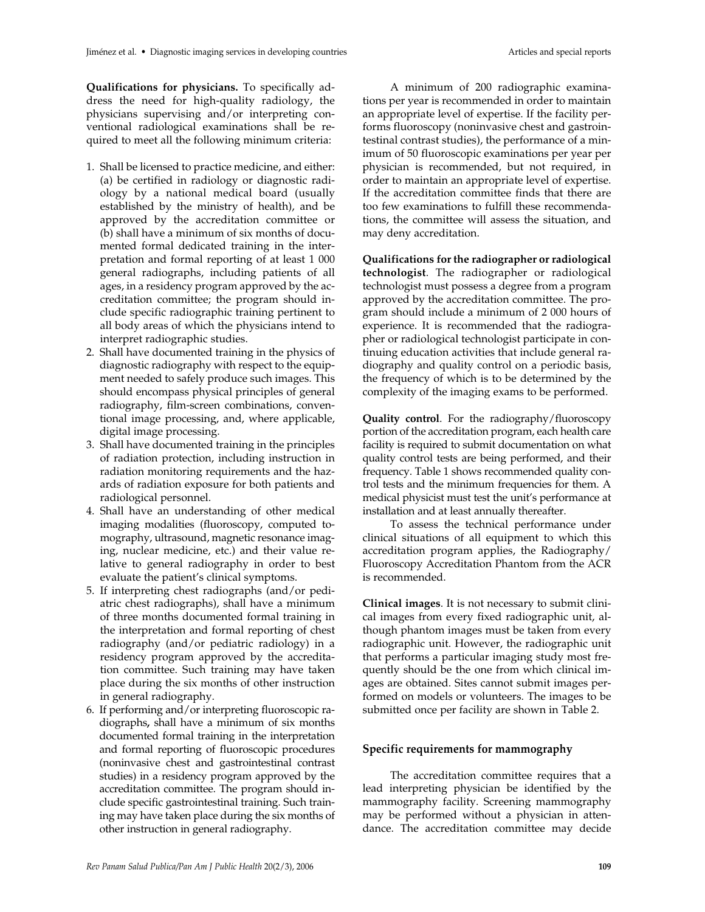**Qualifications for physicians.** To specifically address the need for high-quality radiology, the physicians supervising and/or interpreting conventional radiological examinations shall be required to meet all the following minimum criteria:

- 1. Shall be licensed to practice medicine, and either: (a) be certified in radiology or diagnostic radiology by a national medical board (usually established by the ministry of health), and be approved by the accreditation committee or (b) shall have a minimum of six months of documented formal dedicated training in the interpretation and formal reporting of at least 1 000 general radiographs, including patients of all ages, in a residency program approved by the accreditation committee; the program should include specific radiographic training pertinent to all body areas of which the physicians intend to interpret radiographic studies.
- 2. Shall have documented training in the physics of diagnostic radiography with respect to the equipment needed to safely produce such images. This should encompass physical principles of general radiography, film-screen combinations, conventional image processing, and, where applicable, digital image processing.
- 3. Shall have documented training in the principles of radiation protection, including instruction in radiation monitoring requirements and the hazards of radiation exposure for both patients and radiological personnel.
- 4. Shall have an understanding of other medical imaging modalities (fluoroscopy, computed tomography, ultrasound, magnetic resonance imaging, nuclear medicine, etc.) and their value relative to general radiography in order to best evaluate the patient's clinical symptoms.
- 5. If interpreting chest radiographs (and/or pediatric chest radiographs), shall have a minimum of three months documented formal training in the interpretation and formal reporting of chest radiography (and/or pediatric radiology) in a residency program approved by the accreditation committee. Such training may have taken place during the six months of other instruction in general radiography.
- 6. If performing and/or interpreting fluoroscopic radiographs**,** shall have a minimum of six months documented formal training in the interpretation and formal reporting of fluoroscopic procedures (noninvasive chest and gastrointestinal contrast studies) in a residency program approved by the accreditation committee. The program should include specific gastrointestinal training. Such training may have taken place during the six months of other instruction in general radiography.

A minimum of 200 radiographic examinations per year is recommended in order to maintain an appropriate level of expertise. If the facility performs fluoroscopy (noninvasive chest and gastrointestinal contrast studies), the performance of a minimum of 50 fluoroscopic examinations per year per physician is recommended, but not required, in order to maintain an appropriate level of expertise. If the accreditation committee finds that there are too few examinations to fulfill these recommendations, the committee will assess the situation, and may deny accreditation.

**Qualifications for the radiographer or radiological technologist**. The radiographer or radiological technologist must possess a degree from a program approved by the accreditation committee. The program should include a minimum of 2 000 hours of experience. It is recommended that the radiographer or radiological technologist participate in continuing education activities that include general radiography and quality control on a periodic basis, the frequency of which is to be determined by the complexity of the imaging exams to be performed.

**Quality control**. For the radiography/fluoroscopy portion of the accreditation program, each health care facility is required to submit documentation on what quality control tests are being performed, and their frequency. Table 1 shows recommended quality control tests and the minimum frequencies for them. A medical physicist must test the unit's performance at installation and at least annually thereafter.

To assess the technical performance under clinical situations of all equipment to which this accreditation program applies, the Radiography/ Fluoroscopy Accreditation Phantom from the ACR is recommended.

**Clinical images**. It is not necessary to submit clinical images from every fixed radiographic unit, although phantom images must be taken from every radiographic unit. However, the radiographic unit that performs a particular imaging study most frequently should be the one from which clinical images are obtained. Sites cannot submit images performed on models or volunteers. The images to be submitted once per facility are shown in Table 2.

### **Specific requirements for mammography**

The accreditation committee requires that a lead interpreting physician be identified by the mammography facility. Screening mammography may be performed without a physician in attendance. The accreditation committee may decide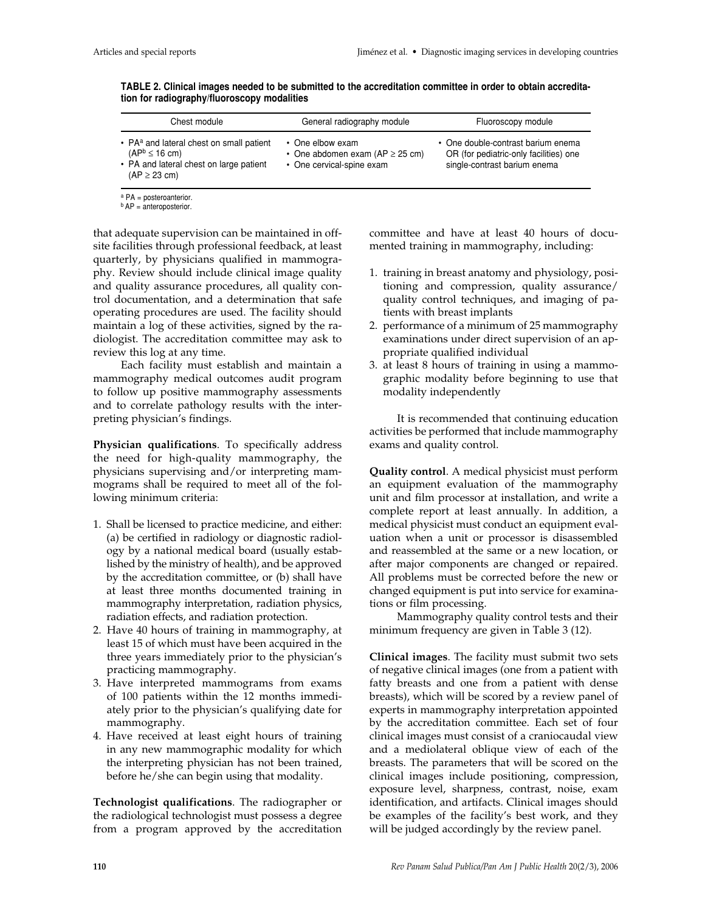| Chest module                                                                                                                                | General radiography module                                                            | Fluoroscopy module                                                                                           |
|---------------------------------------------------------------------------------------------------------------------------------------------|---------------------------------------------------------------------------------------|--------------------------------------------------------------------------------------------------------------|
| • PA <sup>a</sup> and lateral chest on small patient<br>$(AP^b \leq 16$ cm)<br>• PA and lateral chest on large patient<br>$(AP \geq 23$ cm) | • One elbow exam<br>• One abdomen exam (AP $\geq$ 25 cm)<br>• One cervical-spine exam | • One double-contrast barium enema<br>OR (for pediatric-only facilities) one<br>single-contrast barium enema |

**TABLE 2. Clinical images needed to be submitted to the accreditation committee in order to obtain accreditation for radiography/fluoroscopy modalities** 

<sup>a</sup> PA = posteroanterior.

**b** AP = anteroposterior.

that adequate supervision can be maintained in offsite facilities through professional feedback, at least quarterly, by physicians qualified in mammography. Review should include clinical image quality and quality assurance procedures, all quality control documentation, and a determination that safe operating procedures are used. The facility should maintain a log of these activities, signed by the radiologist. The accreditation committee may ask to review this log at any time.

Each facility must establish and maintain a mammography medical outcomes audit program to follow up positive mammography assessments and to correlate pathology results with the interpreting physician's findings.

**Physician qualifications**. To specifically address the need for high-quality mammography, the physicians supervising and/or interpreting mammograms shall be required to meet all of the following minimum criteria:

- 1. Shall be licensed to practice medicine, and either: (a) be certified in radiology or diagnostic radiology by a national medical board (usually established by the ministry of health), and be approved by the accreditation committee, or (b) shall have at least three months documented training in mammography interpretation, radiation physics, radiation effects, and radiation protection.
- 2. Have 40 hours of training in mammography, at least 15 of which must have been acquired in the three years immediately prior to the physician's practicing mammography.
- 3. Have interpreted mammograms from exams of 100 patients within the 12 months immediately prior to the physician's qualifying date for mammography.
- 4. Have received at least eight hours of training in any new mammographic modality for which the interpreting physician has not been trained, before he/she can begin using that modality.

**Technologist qualifications**. The radiographer or the radiological technologist must possess a degree from a program approved by the accreditation

committee and have at least 40 hours of documented training in mammography, including:

- 1. training in breast anatomy and physiology, positioning and compression, quality assurance/ quality control techniques, and imaging of patients with breast implants
- 2. performance of a minimum of 25 mammography examinations under direct supervision of an appropriate qualified individual
- 3. at least 8 hours of training in using a mammographic modality before beginning to use that modality independently

It is recommended that continuing education activities be performed that include mammography exams and quality control.

**Quality control**. A medical physicist must perform an equipment evaluation of the mammography unit and film processor at installation, and write a complete report at least annually. In addition, a medical physicist must conduct an equipment evaluation when a unit or processor is disassembled and reassembled at the same or a new location, or after major components are changed or repaired. All problems must be corrected before the new or changed equipment is put into service for examinations or film processing.

Mammography quality control tests and their minimum frequency are given in Table 3 (12).

**Clinical images**. The facility must submit two sets of negative clinical images (one from a patient with fatty breasts and one from a patient with dense breasts), which will be scored by a review panel of experts in mammography interpretation appointed by the accreditation committee. Each set of four clinical images must consist of a craniocaudal view and a mediolateral oblique view of each of the breasts. The parameters that will be scored on the clinical images include positioning, compression, exposure level, sharpness, contrast, noise, exam identification, and artifacts. Clinical images should be examples of the facility's best work, and they will be judged accordingly by the review panel.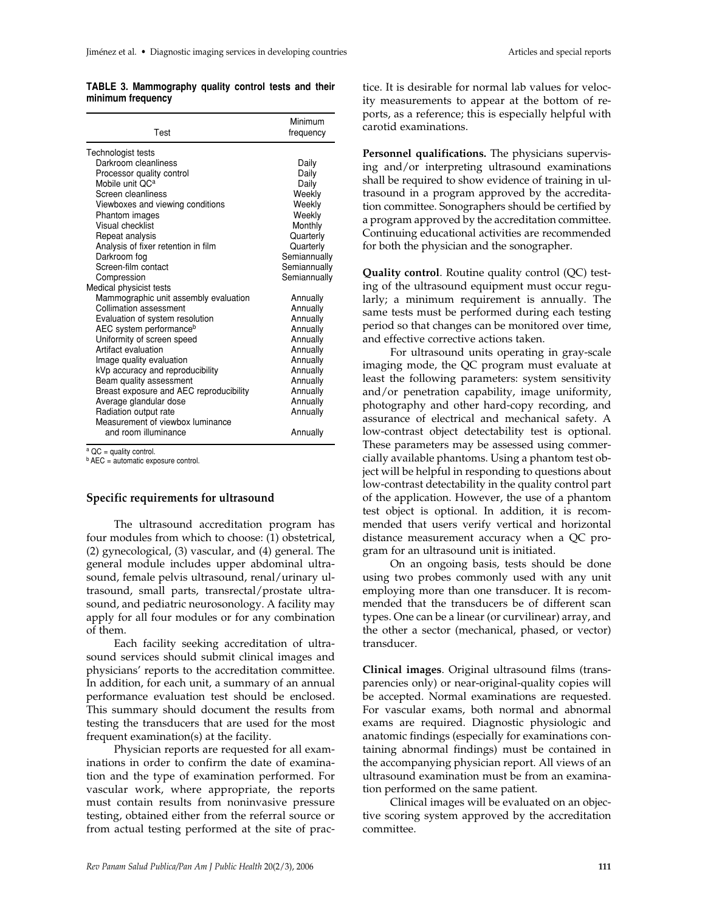#### **TABLE 3. Mammography quality control tests and their minimum frequency**

| Test                                                      | Minimum<br>frequency |  |
|-----------------------------------------------------------|----------------------|--|
| Technologist tests                                        |                      |  |
| Darkroom cleanliness                                      | Daily                |  |
| Processor quality control                                 | Daily                |  |
| Mobile unit OC <sup>a</sup>                               | Daily                |  |
| Screen cleanliness                                        | Weekly               |  |
| Viewboxes and viewing conditions                          | Weekly               |  |
| Phantom images                                            | Weekly               |  |
| Visual checklist                                          | Monthly              |  |
| Repeat analysis                                           | Quarterly            |  |
| Analysis of fixer retention in film                       | Quarterly            |  |
| Darkroom fog                                              | Semiannually         |  |
| Screen-film contact                                       | Semiannually         |  |
| Compression                                               | Semiannually         |  |
| Medical physicist tests                                   |                      |  |
| Mammographic unit assembly evaluation                     | Annually             |  |
| Collimation assessment                                    | Annually             |  |
| Evaluation of system resolution                           | Annually             |  |
| AEC system performance <sup>b</sup>                       | Annually             |  |
| Uniformity of screen speed<br>Artifact evaluation         | Annually             |  |
|                                                           | Annually             |  |
| Image quality evaluation                                  | Annually             |  |
| kVp accuracy and reproducibility                          | Annually             |  |
| Beam quality assessment                                   | Annually             |  |
| Breast exposure and AEC reproducibility                   | Annually             |  |
| Average glandular dose                                    | Annually             |  |
| Radiation output rate<br>Measurement of viewbox luminance | Annually             |  |
| and room illuminance                                      |                      |  |
|                                                           | Annually             |  |

 $a$  QC = quality control.

**b** AEC = automatic exposure control.

### **Specific requirements for ultrasound**

The ultrasound accreditation program has four modules from which to choose: (1) obstetrical, (2) gynecological, (3) vascular, and (4) general. The general module includes upper abdominal ultrasound, female pelvis ultrasound, renal/urinary ultrasound, small parts, transrectal/prostate ultrasound, and pediatric neurosonology. A facility may apply for all four modules or for any combination of them.

Each facility seeking accreditation of ultrasound services should submit clinical images and physicians' reports to the accreditation committee. In addition, for each unit, a summary of an annual performance evaluation test should be enclosed. This summary should document the results from testing the transducers that are used for the most frequent examination(s) at the facility.

Physician reports are requested for all examinations in order to confirm the date of examination and the type of examination performed. For vascular work, where appropriate, the reports must contain results from noninvasive pressure testing, obtained either from the referral source or from actual testing performed at the site of practice. It is desirable for normal lab values for velocity measurements to appear at the bottom of reports, as a reference; this is especially helpful with carotid examinations.

**Personnel qualifications.** The physicians supervising and/or interpreting ultrasound examinations shall be required to show evidence of training in ultrasound in a program approved by the accreditation committee. Sonographers should be certified by a program approved by the accreditation committee. Continuing educational activities are recommended for both the physician and the sonographer.

**Quality control**. Routine quality control (QC) testing of the ultrasound equipment must occur regularly; a minimum requirement is annually. The same tests must be performed during each testing period so that changes can be monitored over time, and effective corrective actions taken.

For ultrasound units operating in gray-scale imaging mode, the QC program must evaluate at least the following parameters: system sensitivity and/or penetration capability, image uniformity, photography and other hard-copy recording, and assurance of electrical and mechanical safety. A low-contrast object detectability test is optional. These parameters may be assessed using commercially available phantoms. Using a phantom test object will be helpful in responding to questions about low-contrast detectability in the quality control part of the application. However, the use of a phantom test object is optional. In addition, it is recommended that users verify vertical and horizontal distance measurement accuracy when a QC program for an ultrasound unit is initiated.

On an ongoing basis, tests should be done using two probes commonly used with any unit employing more than one transducer. It is recommended that the transducers be of different scan types. One can be a linear (or curvilinear) array, and the other a sector (mechanical, phased, or vector) transducer.

**Clinical images**. Original ultrasound films (transparencies only) or near-original-quality copies will be accepted. Normal examinations are requested. For vascular exams, both normal and abnormal exams are required. Diagnostic physiologic and anatomic findings (especially for examinations containing abnormal findings) must be contained in the accompanying physician report. All views of an ultrasound examination must be from an examination performed on the same patient.

Clinical images will be evaluated on an objective scoring system approved by the accreditation committee.